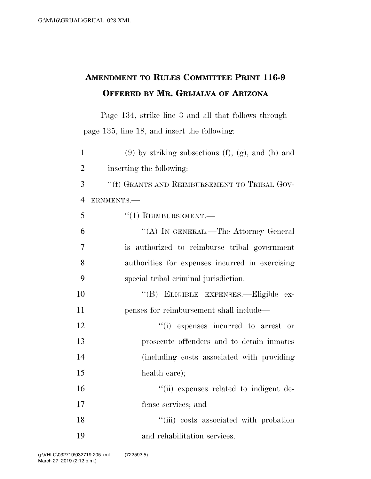## **AMENDMENT TO RULES COMMITTEE PRINT 116-9 OFFERED BY MR. GRIJALVA OF ARIZONA**

Page 134, strike line 3 and all that follows through page 135, line 18, and insert the following:

1 (9) by striking subsections  $(f)$ ,  $(g)$ , and  $(h)$  and inserting the following: ''(f) GRANTS AND REIMBURSEMENT TO TRIBAL GOV- ERNMENTS.— ''(1) REIMBURSEMENT.— ''(A) IN GENERAL.—The Attorney General is authorized to reimburse tribal government authorities for expenses incurred in exercising special tribal criminal jurisdiction. ''(B) ELIGIBLE EXPENSES.—Eligible ex- penses for reimbursement shall include—  $\frac{1}{2}$  '(i) expenses incurred to arrest or prosecute offenders and to detain inmates (including costs associated with providing health care);  $\frac{1}{10}$  expenses related to indigent de- fense services; and 18 ''(iii) costs associated with probation and rehabilitation services.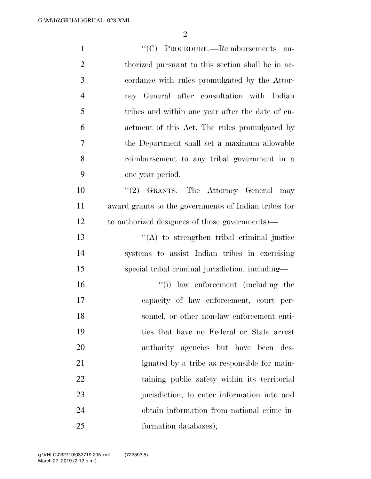| $\mathbf{1}$   | "(C) PROCEDURE.—Reimbursements au-                   |
|----------------|------------------------------------------------------|
| $\overline{2}$ | thorized pursuant to this section shall be in ac-    |
| 3              | cordance with rules promulgated by the Attor-        |
| $\overline{4}$ | ney General after consultation with Indian           |
| 5              | tribes and within one year after the date of en-     |
| 6              | actment of this Act. The rules promulgated by        |
| 7              | the Department shall set a maximum allowable         |
| 8              | reimbursement to any tribal government in a          |
| 9              | one year period.                                     |
| 10             | "(2) GRANTS.—The Attorney General<br>may             |
| 11             | award grants to the governments of Indian tribes (or |
| 12             | to authorized designees of those governments)—       |
| 13             | $\lq\lq$ to strengthen tribal criminal justice       |
| 14             | systems to assist Indian tribes in exercising        |
| 15             | special tribal criminal jurisdiction, including—     |
| 16             | "(i) law enforcement (including the                  |
| 17             | capacity of law enforcement, court per-              |
| 18             | sonnel, or other non-law enforcement enti-           |
| 19             | ties that have no Federal or State arrest            |
| 20             | authority agencies but have been des-                |
| 21             | ignated by a tribe as responsible for main-          |
| 22             | taining public safety within its territorial         |
| 23             | jurisdiction, to enter information into and          |
| 24             | obtain information from national crime in-           |
| 25             | formation databases);                                |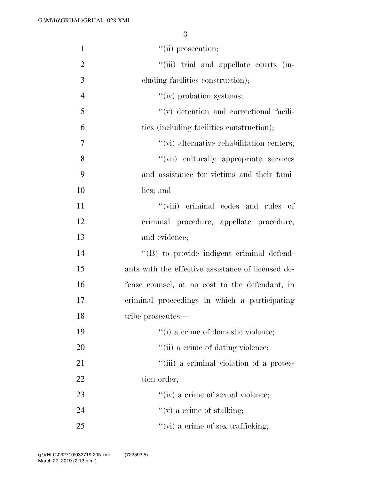| $\mathbf{1}$   | $``$ (ii) prosecution;                             |
|----------------|----------------------------------------------------|
| $\overline{2}$ | "(iii) trial and appellate courts (in-             |
| 3              | cluding facilities construction);                  |
| $\overline{4}$ | "(iv) probation systems;                           |
| 5              | "(v) detention and correctional facili-            |
| 6              | ties (including facilities construction);          |
| $\overline{7}$ | "(vi) alternative rehabilitation centers;          |
| 8              | "(vii) culturally appropriate services             |
| 9              | and assistance for victims and their fami-         |
| 10             | lies; and                                          |
| 11             | "(viii) criminal codes and rules of                |
| 12             | criminal procedure, appellate procedure,           |
| 13             | and evidence;                                      |
| 14             | "(B) to provide indigent criminal defend-          |
| 15             | ants with the effective assistance of licensed de- |
| 16             | fense counsel, at no cost to the defendant, in     |
| 17             | criminal proceedings in which a participating      |
| 18             | tribe prosecutes—                                  |
| 19             | "(i) a crime of domestic violence;                 |
| 20             | "(ii) a crime of dating violence;                  |
| 21             | "(iii) a criminal violation of a protec-           |
| 22             | tion order;                                        |
| 23             | "(iv) a crime of sexual violence;                  |
| 24             | $f'(v)$ a crime of stalking;                       |
| 25             | $``$ (vi) a crime of sex trafficking;              |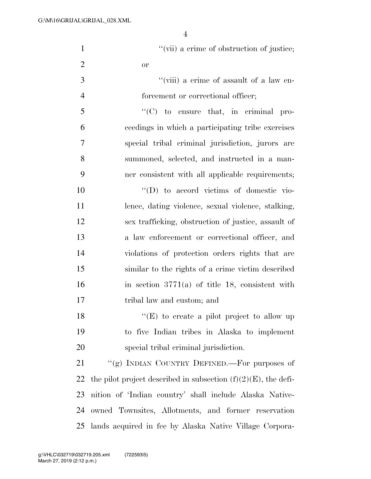|                | $\overline{4}$                                      |
|----------------|-----------------------------------------------------|
| $\mathbf{1}$   | "(vii) a crime of obstruction of justice;           |
| $\overline{2}$ | <b>or</b>                                           |
| 3              | "(viii) a crime of assault of a law en-             |
| $\overline{4}$ | forcement or correctional officer;                  |
| 5              | $\lq\lq$ (C) to ensure that, in criminal pro-       |
| 6              | ceedings in which a participating tribe exercises   |
| 7              | special tribal criminal jurisdiction, jurors are    |
| 8              | summoned, selected, and instructed in a man-        |
| 9              | ner consistent with all applicable requirements;    |
| 10             | $\lq\lq$ to accord victims of domestic vio-         |
| 11             | lence, dating violence, sexual violence, stalking,  |
| 12             | sex trafficking, obstruction of justice, assault of |
| 13             | a law enforcement or correctional officer, and      |
| 14             | violations of protection orders rights that are     |
| 15             | similar to the rights of a crime victim described   |
| 16             | in section $3771(a)$ of title 18, consistent with   |

18 "(E) to create a pilot project to allow up 19 to five Indian tribes in Alaska to implement 20 special tribal criminal jurisdiction.

17 tribal law and custom; and

21 "(g) INDIAN COUNTRY DEFINED.—For purposes of 22 the pilot project described in subsection  $(f)(2)(E)$ , the defi-23 nition of 'Indian country' shall include Alaska Native-24 owned Townsites, Allotments, and former reservation 25 lands acquired in fee by Alaska Native Village Corpora